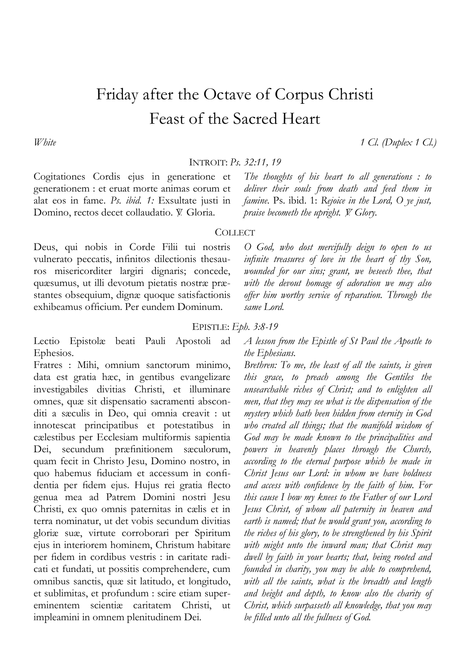# Friday after the Octave of Corpus Christi Feast of the Sacred Heart

*White 1 Cl. (Duplex 1 Cl.)*

INTROIT: *Ps. 32:11, 19*

Cogitationes Cordis ejus in generatione et generationem : et eruat morte animas eorum et alat eos in fame. *Ps. ibid. 1:* Exsultate justi in Domino, rectos decet collaudatio. V. Gloria.

*The thoughts of his heart to all generations : to deliver their souls from death and feed them in famine.* Ps. ibid. 1: *Rejoice in the Lord, O ye just, praise becometh the upright.*  $\breve{Y}$ *. Glory.* 

## **COLLECT**

Deus, qui nobis in Corde Filii tui nostris vulnerato peccatis, infinitos dilectionis thesauros misericorditer largiri dignaris; concede, quæsumus, ut illi devotum pietatis nostræ præstantes obsequium, dignæ quoque satisfactionis exhibeamus officium. Per eundem Dominum.

*O God, who dost mercifully deign to open to us infinite treasures of love in the heart of thy Son, wounded for our sins; grant, we beseech thee, that with the devout homage of adoration we may also offer him worthy service of reparation. Through the same Lord.* 

## EPISTLE: *Eph. 3:8-19*

Lectio Epistolæ beati Pauli Apostoli ad Ephesios.

Fratres : Mihi, omnium sanctorum minimo, data est gratia hæc, in gentibus evangelizare investigabiles divitias Christi, et illuminare omnes, quæ sit dispensatio sacramenti absconditi a sæculis in Deo, qui omnia creavit : ut innotescat principatibus et potestatibus in cælestibus per Ecclesiam multiformis sapientia Dei, secundum præfinitionem sæculorum, quam fecit in Christo Jesu, Domino nostro, in quo habemus fiduciam et accessum in confidentia per fidem ejus. Hujus rei gratia flecto genua mea ad Patrem Domini nostri Jesu Christi, ex quo omnis paternitas in cælis et in terra nominatur, ut det vobis secundum divitias gloriæ suæ, virtute corroborari per Spiritum ejus in interiorem hominem, Christum habitare per fidem in cordibus vestris : in caritate radicati et fundati, ut possitis comprehendere, cum omnibus sanctis, quæ sit latitudo, et longitudo, et sublimitas, et profundum : scire etiam supereminentem scientiæ caritatem Christi, ut impleamini in omnem plenitudinem Dei.

*A lesson from the Epistle of St Paul the Apostle to the Ephesians.*

*Brethren: To me, the least of all the saints, is given this grace, to preach among the Gentiles the unsearchable riches of Christ; and to enlighten all men, that they may see what is the dispensation of the mystery which hath been hidden from eternity in God who created all things; that the manifold wisdom of God may be made known to the principalities and powers in heavenly places through the Church, according to the eternal purpose which he made in Christ Jesus our Lord: in whom we have boldness and access with confidence by the faith of him. For this cause I bow my knees to the Father of our Lord Jesus Christ, of whom all paternity in heaven and earth is named; that he would grant you, according to the riches of his glory, to be strengthened by his Spirit with might unto the inward man; that Christ may dwell by faith in your hearts; that, being rooted and founded in charity, you may be able to comprehend, with all the saints, what is the breadth and length and height and depth, to know also the charity of Christ, which surpasseth all knowledge, that you may be filled unto all the fullness of God.*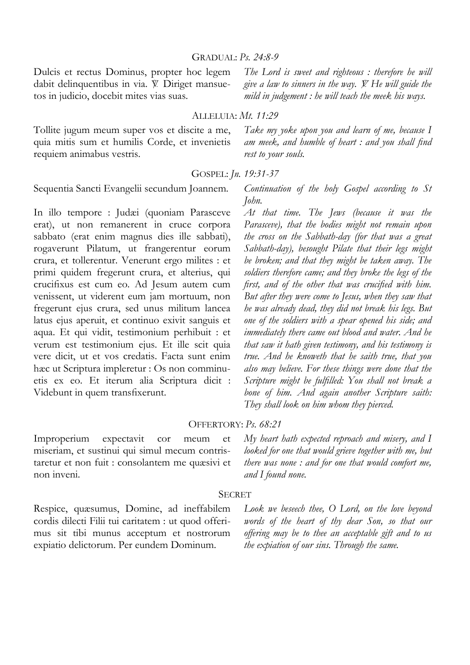Dulcis et rectus Dominus, propter hoc legem dabit delinquentibus in via. V. Diriget mansuetos in judicio, docebit mites vias suas.

*The Lord is sweet and righteous : therefore he will give a law to sinners in the way.* = *He will guide the mild in judgement : he will teach the meek his ways.* 

*Take my yoke upon you and learn of me, because I* 

## ALLELUIA: *Mt. 11:29*

Tollite jugum meum super vos et discite a me, quia mitis sum et humilis Corde, et invenietis requiem animabus vestris.

*am meek, and humble of heart : and you shall find rest to your souls.* 

### GOSPEL: *Jn. 19:31-37*

Sequentia Sancti Evangelii secundum Joannem.

In illo tempore : Judæi (quoniam Parasceve erat), ut non remanerent in cruce corpora sabbato (erat enim magnus dies ille sabbati), rogaverunt Pilatum, ut frangerentur eorum crura, et tollerentur. Venerunt ergo milites : et primi quidem fregerunt crura, et alterius, qui crucifixus est cum eo. Ad Jesum autem cum venissent, ut viderent eum jam mortuum, non fregerunt ejus crura, sed unus militum lancea latus ejus aperuit, et continuo exivit sanguis et aqua. Et qui vidit, testimonium perhibuit : et verum est testimonium ejus. Et ille scit quia vere dicit, ut et vos credatis. Facta sunt enim hæc ut Scriptura impleretur : Os non comminuetis ex eo. Et iterum alia Scriptura dicit : Videbunt in quem transfixerunt.

*Continuation of the holy Gospel according to St John.* 

*At that time. The Jews (because it was the Parasceve), that the bodies might not remain upon the cross on the Sabbath-day (for that was a great Sabbath-day), besought Pilate that their legs might be broken; and that they might be taken away. The soldiers therefore came; and they broke the legs of the first, and of the other that was crucified with him. But after they were come to Jesus, when they saw that he was already dead, they did not break his legs. But one of the soldiers with a spear opened his side; and immediately there came out blood and water. And he that saw it hath given testimony, and his testimony is true. And he knoweth that he saith true, that you also may believe. For these things were done that the Scripture might be fulfilled: You shall not break a bone of him. And again another Scripture saith: They shall look on him whom they pierced.* 

# OFFERTORY: *Ps. 68:21*

Improperium expectavit cor meum et miseriam, et sustinui qui simul mecum contristaretur et non fuit : consolantem me quæsivi et non inveni.

*My heart hath expected reproach and misery, and I looked for one that would grieve together with me, but there was none : and for one that would comfort me, and I found none.* 

#### **SECRET**

Respice, quæsumus, Domine, ad ineffabilem cordis dilecti Filii tui caritatem : ut quod offerimus sit tibi munus acceptum et nostrorum expiatio delictorum. Per eundem Dominum.

*Look we beseech thee, O Lord, on the love beyond words of the heart of thy dear Son, so that our offering may be to thee an acceptable gift and to us the expiation of our sins. Through the same.*